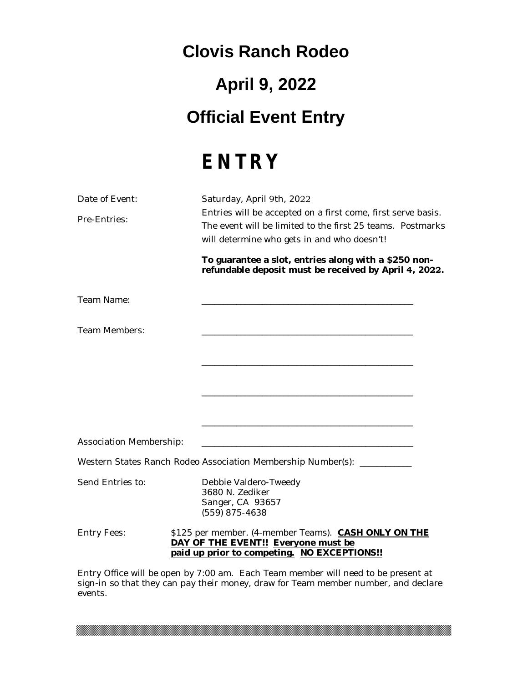## **Clovis Ranch Rodeo**

# **April 9, 2022 Official Event Entry**

## **ENTRY**

| Date of Event:<br>Pre-Entries:                                          | Saturday, April 9th, 2022<br>Entries will be accepted on a first come, first serve basis.<br>The event will be limited to the first 25 teams. Postmarks<br>will determine who gets in and who doesn't!<br>To guarantee a slot, entries along with a \$250 non-<br>refundable deposit must be received by April 4, 2022. |  |  |
|-------------------------------------------------------------------------|-------------------------------------------------------------------------------------------------------------------------------------------------------------------------------------------------------------------------------------------------------------------------------------------------------------------------|--|--|
| Team Name:                                                              |                                                                                                                                                                                                                                                                                                                         |  |  |
| Team Members:                                                           |                                                                                                                                                                                                                                                                                                                         |  |  |
| Association Membership:                                                 |                                                                                                                                                                                                                                                                                                                         |  |  |
| Western States Ranch Rodeo Association Membership Number(s): __________ |                                                                                                                                                                                                                                                                                                                         |  |  |
| Send Entries to:                                                        | Debbie Valdero-Tweedy<br>3680 N. Zediker<br>Sanger, CA 93657<br>(559) 875-4638                                                                                                                                                                                                                                          |  |  |
| <b>Entry Fees:</b>                                                      | \$125 per member. (4-member Teams). CASH ONLY ON THE<br>DAY OF THE EVENT!! Everyone must be<br>paid up prior to competing. NO EXCEPTIONS !!                                                                                                                                                                             |  |  |

Entry Office will be open by 7:00 am. Each Team member will need to be present at sign-in so that they can pay their money, draw for Team member number, and declare events.

<u> Tanzania (h. 1888).</u>